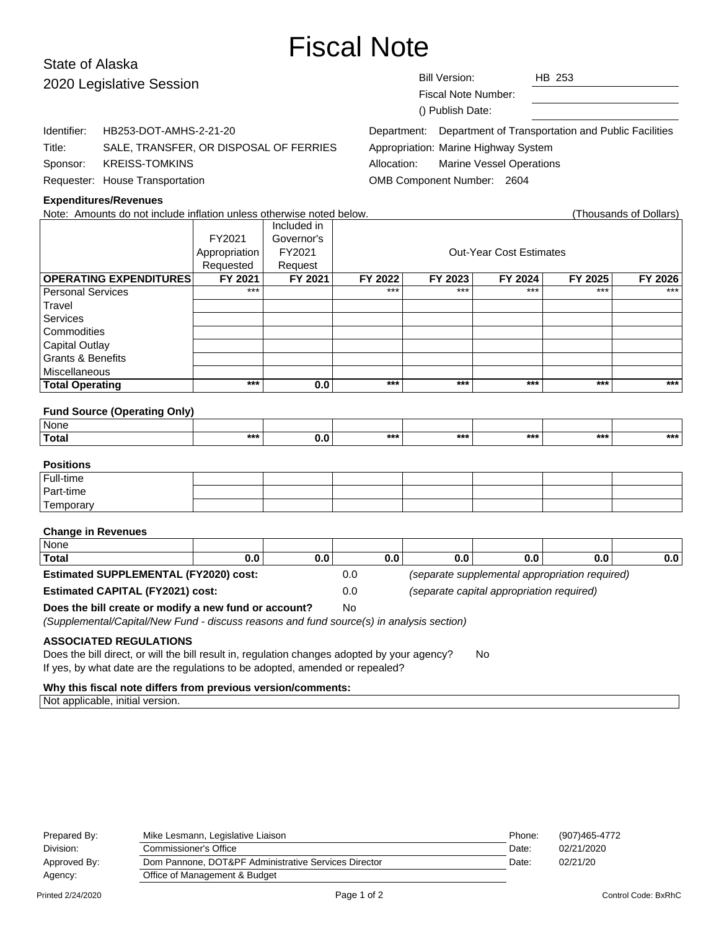# Fiscal Note

# State of Alaska 2020 Legislative Session

**Expenditures/Revenues**

| <b>Bill Version:</b> | HB 253 |
|----------------------|--------|
|                      |        |

Fiscal Note Number:

Department: Department of Transportation and Public Facilities

Appropriation: Marine Highway System

Allocation: Marine Vessel Operations

OMB Component Number: 2604

## FY2021 Governor's Appropriation FY2021 | COUL-Year Cost Estimates Requested | Request **OPERATING EXPENDITURES FY 2021 FY 2021 FY 2022 FY 2023 FY 2024 FY 2025 FY 2026** Personal Services Travel Services **Commodities** Capital Outlay Grants & Benefits **Miscellaneous Total Operating \*\*\* 0.0 \*\*\* \*\*\* \*\*\* \*\*\* \*\*\* Fund Source (Operating Only) None Total \*\*\* 0.0 \*\*\* \*\*\* \*\*\* \*\*\* \*\*\* Positions** Full-time Part-time **Temporary Change in Revenues** None **Total 0.0 0.0 0.0 0.0 0.0 0.0 0.0 Estimated SUPPLEMENTAL (FY2020) cost:** 0.0 (separate supplemental appropriation required) **Estimated CAPITAL (FY2021) cost:** 0.0 (separate capital appropriation required) **Does the bill create or modify a new fund or account?** No (Supplemental/Capital/New Fund - discuss reasons and fund source(s) in analysis section)

Included in

### **ASSOCIATED REGULATIONS**

Does the bill direct, or will the bill result in, regulation changes adopted by your agency? No If yes, by what date are the regulations to be adopted, amended or repealed?

### **Why this fiscal note differs from previous version/comments:**

Not applicable, initial version.

| Prepared By: | Mike Lesmann, Legislative Liaison                    | Phone: | (907)465-4772 |
|--------------|------------------------------------------------------|--------|---------------|
| Division:    | <b>Commissioner's Office</b>                         | Date:  | 02/21/2020    |
| Approved By: | Dom Pannone, DOT&PF Administrative Services Director | Date:  | 02/21/20      |
| Agency:      | Office of Management & Budget                        |        |               |
|              |                                                      |        |               |

Note: Amounts do not include inflation unless otherwise noted below. Note: Note: 11 (Thousands of Dollars)

() Publish Date:

| Identifier: | HB253-DOT-AMHS-2-21-20 |
|-------------|------------------------|
|             |                        |

Title: SALE, TRANSFER, OR DISPOSAL OF FERRIES Sponsor: KREISS-TOMKINS Requester: House Transportation